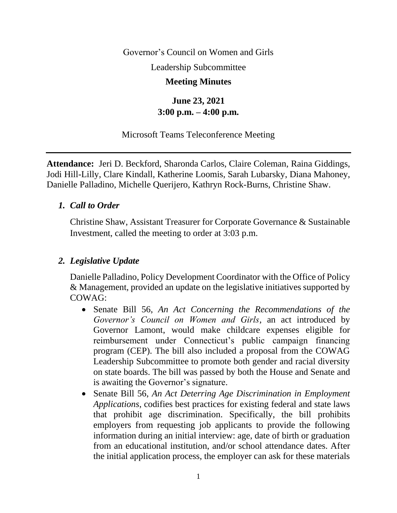Governor's Council on Women and Girls

Leadership Subcommittee

#### **Meeting Minutes**

# **June 23, 2021 3:00 p.m. – 4:00 p.m.**

#### Microsoft Teams Teleconference Meeting

**Attendance:** Jeri D. Beckford, Sharonda Carlos, Claire Coleman, Raina Giddings, Jodi Hill-Lilly, Clare Kindall, Katherine Loomis, Sarah Lubarsky, Diana Mahoney, Danielle Palladino, Michelle Querijero, Kathryn Rock-Burns, Christine Shaw.

#### *1. Call to Order*

Christine Shaw, Assistant Treasurer for Corporate Governance & Sustainable Investment, called the meeting to order at 3:03 p.m.

#### *2. Legislative Update*

Danielle Palladino, Policy Development Coordinator with the Office of Policy & Management, provided an update on the legislative initiatives supported by COWAG:

- Senate Bill 56, *An Act Concerning the Recommendations of the Governor's Council on Women and Girls*, an act introduced by Governor Lamont, would make childcare expenses eligible for reimbursement under Connecticut's public campaign financing program (CEP). The bill also included a proposal from the COWAG Leadership Subcommittee to promote both gender and racial diversity on state boards. The bill was passed by both the House and Senate and is awaiting the Governor's signature.
- Senate Bill 56, *An Act Deterring Age Discrimination in Employment Applications*, codifies best practices for existing federal and state laws that prohibit age discrimination. Specifically, the bill prohibits employers from requesting job applicants to provide the following information during an initial interview: age, date of birth or graduation from an educational institution, and/or school attendance dates. After the initial application process, the employer can ask for these materials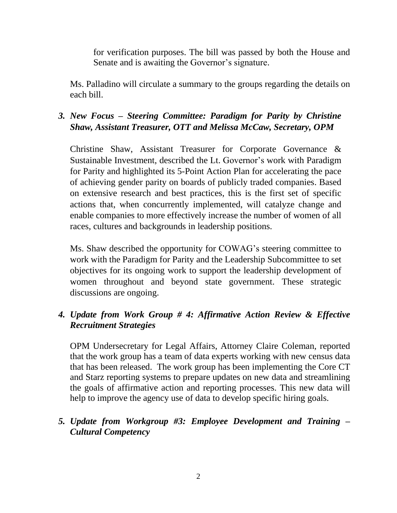for verification purposes. The bill was passed by both the House and Senate and is awaiting the Governor's signature.

Ms. Palladino will circulate a summary to the groups regarding the details on each bill.

## *3. New Focus – Steering Committee: Paradigm for Parity by Christine Shaw, Assistant Treasurer, OTT and Melissa McCaw, Secretary, OPM*

Christine Shaw, Assistant Treasurer for Corporate Governance & Sustainable Investment, described the Lt. Governor's work with Paradigm for Parity and highlighted its 5-Point Action Plan for accelerating the pace of achieving gender parity on boards of publicly traded companies. Based on extensive research and best practices, this is the first set of specific actions that, when concurrently implemented, will catalyze change and enable companies to more effectively increase the number of women of all races, cultures and backgrounds in leadership positions.

Ms. Shaw described the opportunity for COWAG's steering committee to work with the Paradigm for Parity and the Leadership Subcommittee to set objectives for its ongoing work to support the leadership development of women throughout and beyond state government. These strategic discussions are ongoing.

## *4. Update from Work Group # 4: Affirmative Action Review & Effective Recruitment Strategies*

OPM Undersecretary for Legal Affairs, Attorney Claire Coleman, reported that the work group has a team of data experts working with new census data that has been released. The work group has been implementing the Core CT and Starz reporting systems to prepare updates on new data and streamlining the goals of affirmative action and reporting processes. This new data will help to improve the agency use of data to develop specific hiring goals.

## *5. Update from Workgroup #3: Employee Development and Training – Cultural Competency*